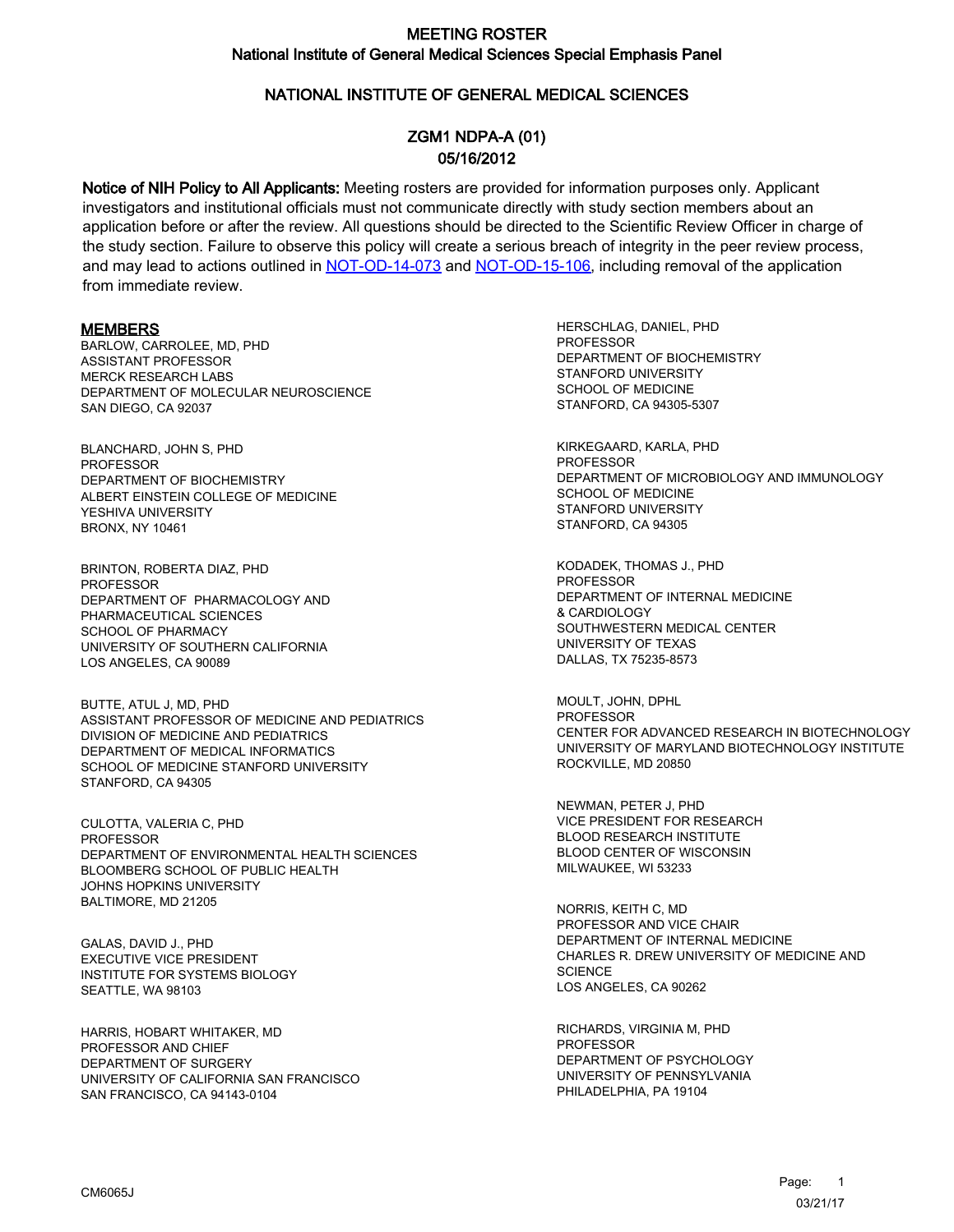## NATIONAL INSTITUTE OF GENERAL MEDICAL SCIENCES

# ZGM1 NDPA-A (01) 05/16/2012

Notice of NIH Policy to All Applicants: Meeting rosters are provided for information purposes only. Applicant investigators and institutional officials must not communicate directly with study section members about an application before or after the review. All questions should be directed to the Scientific Review Officer in charge of the study section. Failure to observe this policy will create a serious breach of integrity in the peer review process, and may lead to actions outlined in [NOT-OD-14-073](https://grants.nih.gov/grants/guide/notice-files/NOT-OD-14-073.html) and [NOT-OD-15-106,](https://grants.nih.gov/grants/guide/notice-files/NOT-OD-15-106.html) including removal of the application from immediate review.

#### **MEMBERS**

BARLOW, CARROLEE, MD, PHD ASSISTANT PROFESSOR MERCK RESEARCH LABS DEPARTMENT OF MOLECULAR NEUROSCIENCE SAN DIEGO, CA 92037

BLANCHARD, JOHN S, PHD PROFESSOR DEPARTMENT OF BIOCHEMISTRY ALBERT EINSTEIN COLLEGE OF MEDICINE YESHIVA UNIVERSITY BRONX, NY 10461

BRINTON, ROBERTA DIAZ, PHD **PROFESSOR** DEPARTMENT OF PHARMACOLOGY AND PHARMACEUTICAL SCIENCES SCHOOL OF PHARMACY UNIVERSITY OF SOUTHERN CALIFORNIA LOS ANGELES, CA 90089

BUTTE, ATUL J, MD, PHD ASSISTANT PROFESSOR OF MEDICINE AND PEDIATRICS DIVISION OF MEDICINE AND PEDIATRICS DEPARTMENT OF MEDICAL INFORMATICS SCHOOL OF MEDICINE STANFORD UNIVERSITY STANFORD, CA 94305

CULOTTA, VALERIA C, PHD PROFESSOR DEPARTMENT OF ENVIRONMENTAL HEALTH SCIENCES BLOOMBERG SCHOOL OF PUBLIC HEALTH JOHNS HOPKINS UNIVERSITY BALTIMORE, MD 21205

GALAS, DAVID J., PHD EXECUTIVE VICE PRESIDENT INSTITUTE FOR SYSTEMS BIOLOGY SEATTLE, WA 98103

HARRIS, HOBART WHITAKER, MD PROFESSOR AND CHIEF DEPARTMENT OF SURGERY UNIVERSITY OF CALIFORNIA SAN FRANCISCO SAN FRANCISCO, CA 94143-0104

HERSCHLAG, DANIEL, PHD **PROFESSOR** DEPARTMENT OF BIOCHEMISTRY STANFORD UNIVERSITY SCHOOL OF MEDICINE STANFORD, CA 94305-5307

KIRKEGAARD, KARLA, PHD PROFESSOR DEPARTMENT OF MICROBIOLOGY AND IMMUNOLOGY SCHOOL OF MEDICINE STANFORD UNIVERSITY STANFORD, CA 94305

KODADEK, THOMAS J., PHD **PROFESSOR** DEPARTMENT OF INTERNAL MEDICINE & CARDIOLOGY SOUTHWESTERN MEDICAL CENTER UNIVERSITY OF TEXAS DALLAS, TX 75235-8573

MOULT, JOHN, DPHL **PROFESSOR** CENTER FOR ADVANCED RESEARCH IN BIOTECHNOLOGY UNIVERSITY OF MARYLAND BIOTECHNOLOGY INSTITUTE ROCKVILLE, MD 20850

NEWMAN, PETER J, PHD VICE PRESIDENT FOR RESEARCH BLOOD RESEARCH INSTITUTE BLOOD CENTER OF WISCONSIN MILWAUKEE, WI 53233

NORRIS, KEITH C, MD PROFESSOR AND VICE CHAIR DEPARTMENT OF INTERNAL MEDICINE CHARLES R. DREW UNIVERSITY OF MEDICINE AND **SCIENCE** LOS ANGELES, CA 90262

RICHARDS, VIRGINIA M, PHD PROFESSOR DEPARTMENT OF PSYCHOLOGY UNIVERSITY OF PENNSYLVANIA PHILADELPHIA, PA 19104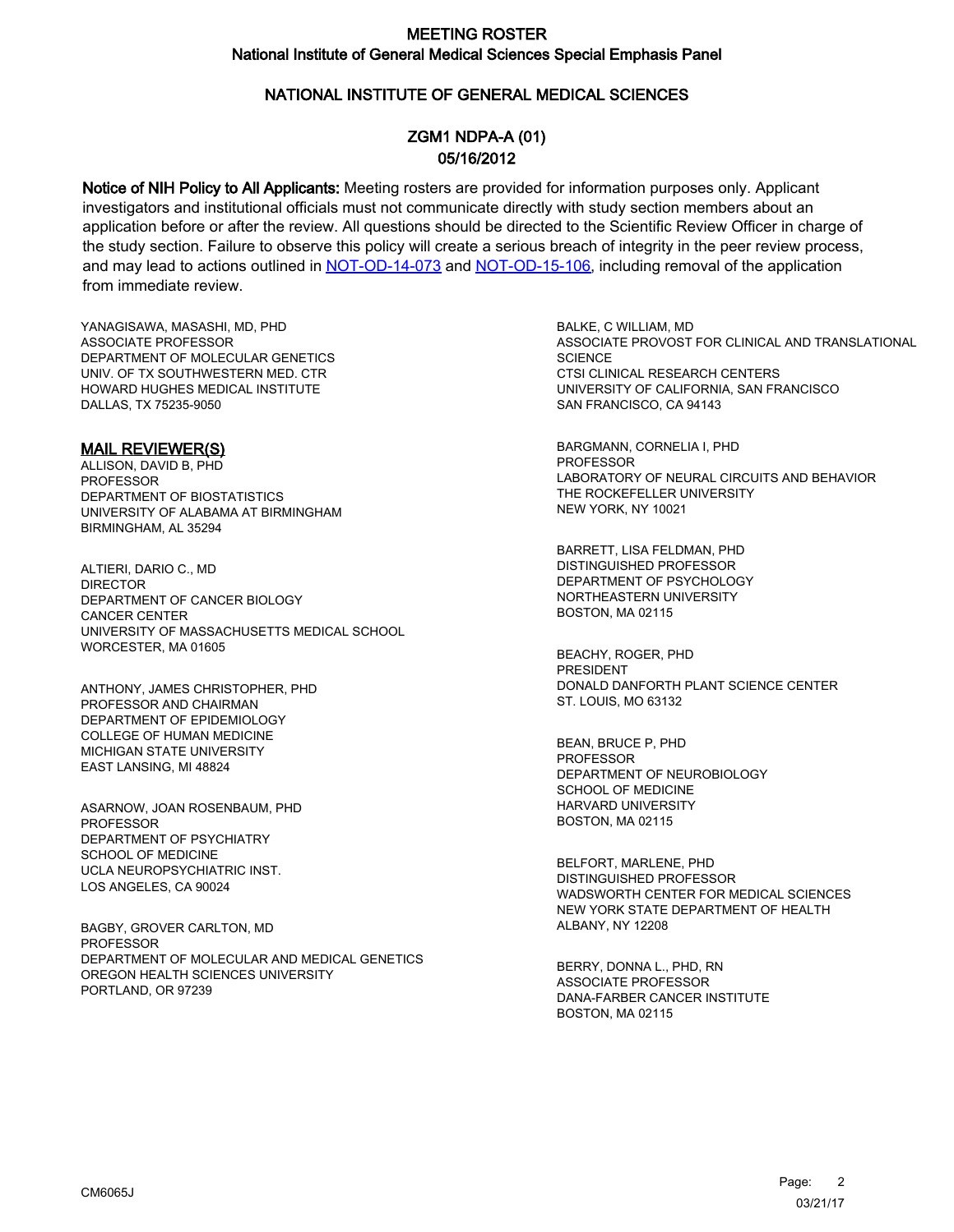## NATIONAL INSTITUTE OF GENERAL MEDICAL SCIENCES

## ZGM1 NDPA-A (01) 05/16/2012

Notice of NIH Policy to All Applicants: Meeting rosters are provided for information purposes only. Applicant investigators and institutional officials must not communicate directly with study section members about an application before or after the review. All questions should be directed to the Scientific Review Officer in charge of the study section. Failure to observe this policy will create a serious breach of integrity in the peer review process, and may lead to actions outlined in [NOT-OD-14-073](https://grants.nih.gov/grants/guide/notice-files/NOT-OD-14-073.html) and [NOT-OD-15-106,](https://grants.nih.gov/grants/guide/notice-files/NOT-OD-15-106.html) including removal of the application from immediate review.

YANAGISAWA, MASASHI, MD, PHD ASSOCIATE PROFESSOR DEPARTMENT OF MOLECULAR GENETICS UNIV. OF TX SOUTHWESTERN MED. CTR HOWARD HUGHES MEDICAL INSTITUTE DALLAS, TX 75235-9050

#### MAIL REVIEWER(S)

ALLISON, DAVID B, PHD PROFESSOR DEPARTMENT OF BIOSTATISTICS UNIVERSITY OF ALABAMA AT BIRMINGHAM BIRMINGHAM, AL 35294

ALTIERI, DARIO C., MD **DIRECTOR** DEPARTMENT OF CANCER BIOLOGY CANCER CENTER UNIVERSITY OF MASSACHUSETTS MEDICAL SCHOOL WORCESTER, MA 01605

ANTHONY, JAMES CHRISTOPHER, PHD PROFESSOR AND CHAIRMAN DEPARTMENT OF EPIDEMIOLOGY COLLEGE OF HUMAN MEDICINE MICHIGAN STATE UNIVERSITY EAST LANSING, MI 48824

ASARNOW, JOAN ROSENBAUM, PHD PROFESSOR DEPARTMENT OF PSYCHIATRY SCHOOL OF MEDICINE UCLA NEUROPSYCHIATRIC INST. LOS ANGELES, CA 90024

BAGBY, GROVER CARLTON, MD **PROFESSOR** DEPARTMENT OF MOLECULAR AND MEDICAL GENETICS OREGON HEALTH SCIENCES UNIVERSITY PORTLAND, OR 97239

BALKE, C WILLIAM, MD ASSOCIATE PROVOST FOR CLINICAL AND TRANSLATIONAL **SCIENCE** CTSI CLINICAL RESEARCH CENTERS UNIVERSITY OF CALIFORNIA, SAN FRANCISCO SAN FRANCISCO, CA 94143

BARGMANN, CORNELIA I, PHD PROFESSOR LABORATORY OF NEURAL CIRCUITS AND BEHAVIOR THE ROCKEFELLER UNIVERSITY NEW YORK, NY 10021

BARRETT, LISA FELDMAN, PHD DISTINGUISHED PROFESSOR DEPARTMENT OF PSYCHOLOGY NORTHEASTERN UNIVERSITY BOSTON, MA 02115

BEACHY, ROGER, PHD PRESIDENT DONALD DANFORTH PLANT SCIENCE CENTER ST. LOUIS, MO 63132

BEAN, BRUCE P, PHD PROFESSOR DEPARTMENT OF NEUROBIOLOGY SCHOOL OF MEDICINE HARVARD UNIVERSITY BOSTON, MA 02115

BELFORT, MARLENE, PHD DISTINGUISHED PROFESSOR WADSWORTH CENTER FOR MEDICAL SCIENCES NEW YORK STATE DEPARTMENT OF HEALTH ALBANY, NY 12208

BERRY, DONNA L., PHD, RN ASSOCIATE PROFESSOR DANA-FARBER CANCER INSTITUTE BOSTON, MA 02115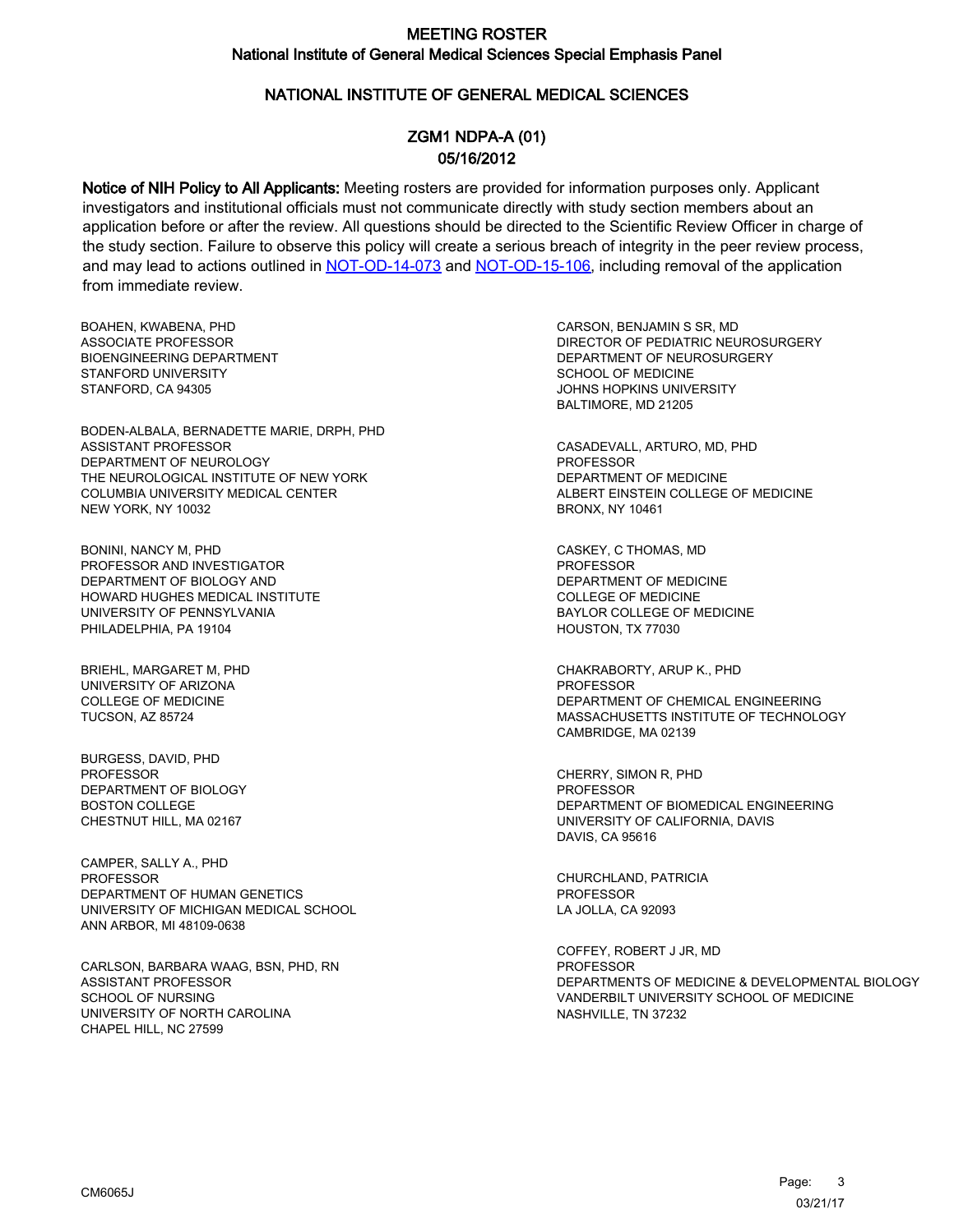### NATIONAL INSTITUTE OF GENERAL MEDICAL SCIENCES

## ZGM1 NDPA-A (01) 05/16/2012

Notice of NIH Policy to All Applicants: Meeting rosters are provided for information purposes only. Applicant investigators and institutional officials must not communicate directly with study section members about an application before or after the review. All questions should be directed to the Scientific Review Officer in charge of the study section. Failure to observe this policy will create a serious breach of integrity in the peer review process, and may lead to actions outlined in [NOT-OD-14-073](https://grants.nih.gov/grants/guide/notice-files/NOT-OD-14-073.html) and [NOT-OD-15-106,](https://grants.nih.gov/grants/guide/notice-files/NOT-OD-15-106.html) including removal of the application from immediate review.

BOAHEN, KWABENA, PHD ASSOCIATE PROFESSOR BIOENGINEERING DEPARTMENT STANFORD UNIVERSITY STANFORD, CA 94305

BODEN-ALBALA, BERNADETTE MARIE, DRPH, PHD ASSISTANT PROFESSOR DEPARTMENT OF NEUROLOGY THE NEUROLOGICAL INSTITUTE OF NEW YORK COLUMBIA UNIVERSITY MEDICAL CENTER NEW YORK, NY 10032

BONINI, NANCY M, PHD PROFESSOR AND INVESTIGATOR DEPARTMENT OF BIOLOGY AND HOWARD HUGHES MEDICAL INSTITUTE UNIVERSITY OF PENNSYLVANIA PHILADELPHIA, PA 19104

BRIEHL, MARGARET M, PHD UNIVERSITY OF ARIZONA COLLEGE OF MEDICINE TUCSON, AZ 85724

BURGESS, DAVID, PHD PROFESSOR DEPARTMENT OF BIOLOGY BOSTON COLLEGE CHESTNUT HILL, MA 02167

CAMPER, SALLY A., PHD PROFESSOR DEPARTMENT OF HUMAN GENETICS UNIVERSITY OF MICHIGAN MEDICAL SCHOOL ANN ARBOR, MI 48109-0638

CARLSON, BARBARA WAAG, BSN, PHD, RN ASSISTANT PROFESSOR SCHOOL OF NURSING UNIVERSITY OF NORTH CAROLINA CHAPEL HILL, NC 27599

CARSON, BENJAMIN S SR, MD DIRECTOR OF PEDIATRIC NEUROSURGERY DEPARTMENT OF NEUROSURGERY SCHOOL OF MEDICINE JOHNS HOPKINS UNIVERSITY BALTIMORE, MD 21205

CASADEVALL, ARTURO, MD, PHD PROFESSOR DEPARTMENT OF MEDICINE ALBERT EINSTEIN COLLEGE OF MEDICINE BRONX, NY 10461

CASKEY, C THOMAS, MD PROFESSOR DEPARTMENT OF MEDICINE COLLEGE OF MEDICINE BAYLOR COLLEGE OF MEDICINE HOUSTON, TX 77030

CHAKRABORTY, ARUP K., PHD **PROFESSOR** DEPARTMENT OF CHEMICAL ENGINEERING MASSACHUSETTS INSTITUTE OF TECHNOLOGY CAMBRIDGE, MA 02139

CHERRY, SIMON R, PHD PROFESSOR DEPARTMENT OF BIOMEDICAL ENGINEERING UNIVERSITY OF CALIFORNIA, DAVIS DAVIS, CA 95616

CHURCHLAND, PATRICIA PROFESSOR LA JOLLA, CA 92093

COFFEY, ROBERT J JR, MD **PROFESSOR** DEPARTMENTS OF MEDICINE & DEVELOPMENTAL BIOLOGY VANDERBILT UNIVERSITY SCHOOL OF MEDICINE NASHVILLE, TN 37232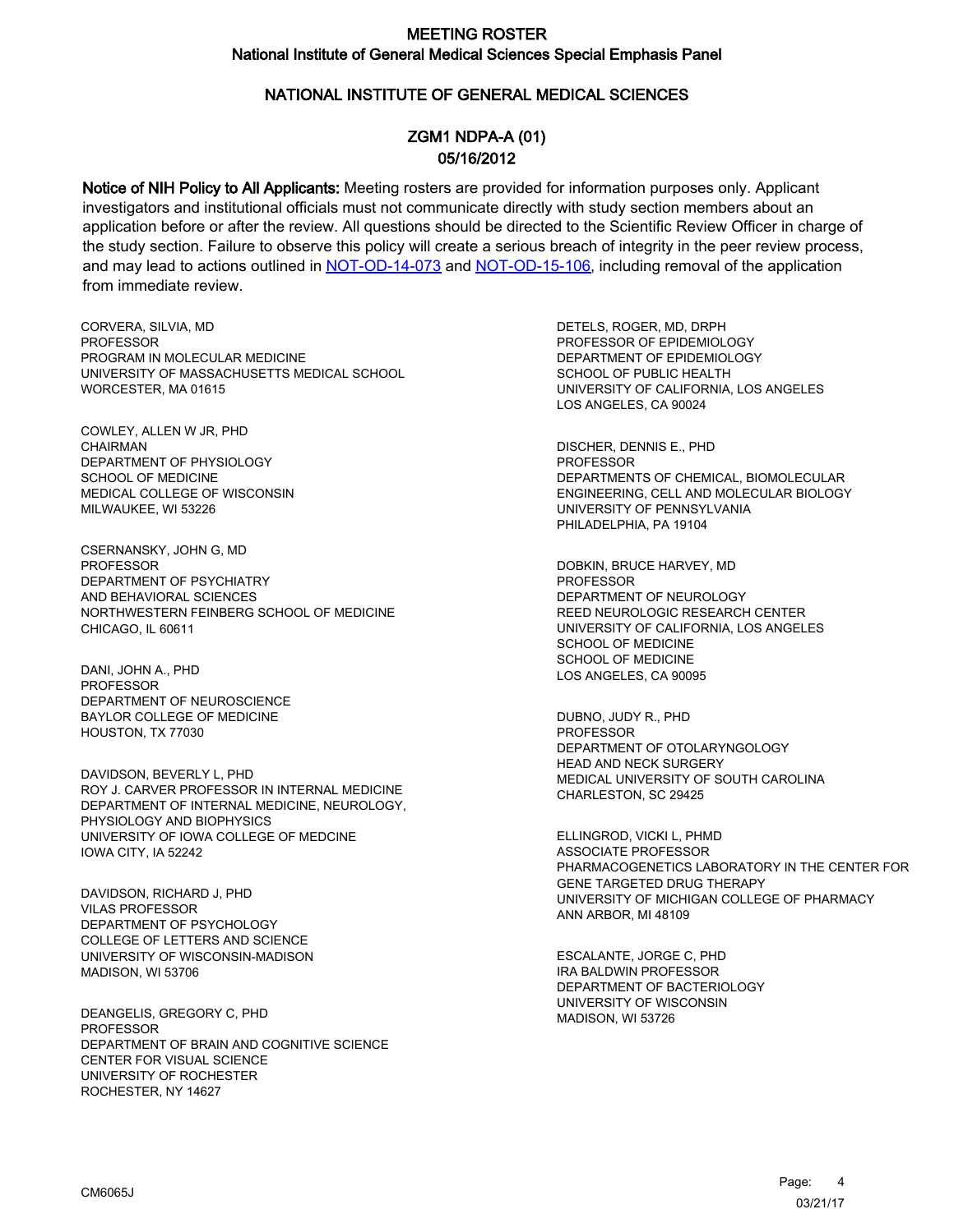### NATIONAL INSTITUTE OF GENERAL MEDICAL SCIENCES

## ZGM1 NDPA-A (01) 05/16/2012

Notice of NIH Policy to All Applicants: Meeting rosters are provided for information purposes only. Applicant investigators and institutional officials must not communicate directly with study section members about an application before or after the review. All questions should be directed to the Scientific Review Officer in charge of the study section. Failure to observe this policy will create a serious breach of integrity in the peer review process, and may lead to actions outlined in [NOT-OD-14-073](https://grants.nih.gov/grants/guide/notice-files/NOT-OD-14-073.html) and [NOT-OD-15-106,](https://grants.nih.gov/grants/guide/notice-files/NOT-OD-15-106.html) including removal of the application from immediate review.

CORVERA, SILVIA, MD **PROFESSOR** PROGRAM IN MOLECULAR MEDICINE UNIVERSITY OF MASSACHUSETTS MEDICAL SCHOOL WORCESTER, MA 01615

COWLEY, ALLEN W JR, PHD CHAIRMAN DEPARTMENT OF PHYSIOLOGY SCHOOL OF MEDICINE MEDICAL COLLEGE OF WISCONSIN MILWAUKEE, WI 53226

CSERNANSKY, JOHN G, MD PROFESSOR DEPARTMENT OF PSYCHIATRY AND BEHAVIORAL SCIENCES NORTHWESTERN FEINBERG SCHOOL OF MEDICINE CHICAGO, IL 60611

DANI, JOHN A., PHD PROFESSOR DEPARTMENT OF NEUROSCIENCE BAYLOR COLLEGE OF MEDICINE HOUSTON, TX 77030

DAVIDSON, BEVERLY L, PHD ROY J. CARVER PROFESSOR IN INTERNAL MEDICINE DEPARTMENT OF INTERNAL MEDICINE, NEUROLOGY, PHYSIOLOGY AND BIOPHYSICS UNIVERSITY OF IOWA COLLEGE OF MEDCINE IOWA CITY, IA 52242

DAVIDSON, RICHARD J, PHD VILAS PROFESSOR DEPARTMENT OF PSYCHOLOGY COLLEGE OF LETTERS AND SCIENCE UNIVERSITY OF WISCONSIN-MADISON MADISON, WI 53706

DEANGELIS, GREGORY C, PHD PROFESSOR DEPARTMENT OF BRAIN AND COGNITIVE SCIENCE CENTER FOR VISUAL SCIENCE UNIVERSITY OF ROCHESTER ROCHESTER, NY 14627

DETELS, ROGER, MD, DRPH PROFESSOR OF EPIDEMIOLOGY DEPARTMENT OF EPIDEMIOLOGY SCHOOL OF PUBLIC HEALTH UNIVERSITY OF CALIFORNIA, LOS ANGELES LOS ANGELES, CA 90024

DISCHER, DENNIS E., PHD PROFESSOR DEPARTMENTS OF CHEMICAL, BIOMOLECULAR ENGINEERING, CELL AND MOLECULAR BIOLOGY UNIVERSITY OF PENNSYLVANIA PHILADELPHIA, PA 19104

DOBKIN, BRUCE HARVEY, MD **PROFESSOR** DEPARTMENT OF NEUROLOGY REED NEUROLOGIC RESEARCH CENTER UNIVERSITY OF CALIFORNIA, LOS ANGELES SCHOOL OF MEDICINE SCHOOL OF MEDICINE LOS ANGELES, CA 90095

DUBNO, JUDY R., PHD PROFESSOR DEPARTMENT OF OTOLARYNGOLOGY HEAD AND NECK SURGERY MEDICAL UNIVERSITY OF SOUTH CAROLINA CHARLESTON, SC 29425

ELLINGROD, VICKI L, PHMD ASSOCIATE PROFESSOR PHARMACOGENETICS LABORATORY IN THE CENTER FOR GENE TARGETED DRUG THERAPY UNIVERSITY OF MICHIGAN COLLEGE OF PHARMACY ANN ARBOR, MI 48109

ESCALANTE, JORGE C, PHD IRA BALDWIN PROFESSOR DEPARTMENT OF BACTERIOLOGY UNIVERSITY OF WISCONSIN MADISON, WI 53726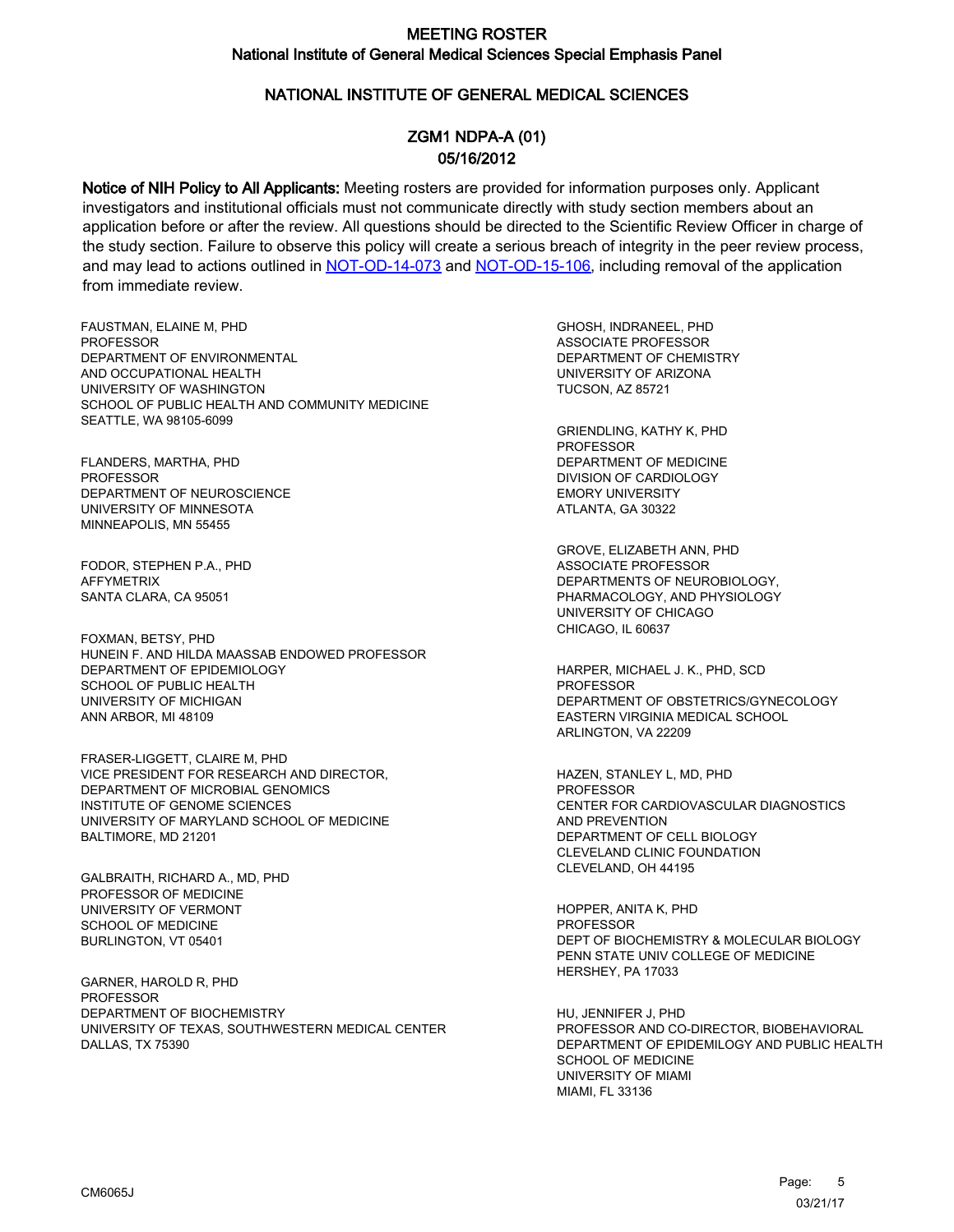## NATIONAL INSTITUTE OF GENERAL MEDICAL SCIENCES

## ZGM1 NDPA-A (01) 05/16/2012

Notice of NIH Policy to All Applicants: Meeting rosters are provided for information purposes only. Applicant investigators and institutional officials must not communicate directly with study section members about an application before or after the review. All questions should be directed to the Scientific Review Officer in charge of the study section. Failure to observe this policy will create a serious breach of integrity in the peer review process, and may lead to actions outlined in [NOT-OD-14-073](https://grants.nih.gov/grants/guide/notice-files/NOT-OD-14-073.html) and [NOT-OD-15-106,](https://grants.nih.gov/grants/guide/notice-files/NOT-OD-15-106.html) including removal of the application from immediate review.

FAUSTMAN, ELAINE M, PHD **PROFESSOR** DEPARTMENT OF ENVIRONMENTAL AND OCCUPATIONAL HEALTH UNIVERSITY OF WASHINGTON SCHOOL OF PUBLIC HEALTH AND COMMUNITY MEDICINE SEATTLE, WA 98105-6099

FLANDERS, MARTHA, PHD PROFESSOR DEPARTMENT OF NEUROSCIENCE UNIVERSITY OF MINNESOTA MINNEAPOLIS, MN 55455

FODOR, STEPHEN P.A., PHD AFFYMETRIX SANTA CLARA, CA 95051

FOXMAN, BETSY, PHD HUNEIN F. AND HILDA MAASSAB ENDOWED PROFESSOR DEPARTMENT OF EPIDEMIOLOGY SCHOOL OF PUBLIC HEALTH UNIVERSITY OF MICHIGAN ANN ARBOR, MI 48109

FRASER-LIGGETT, CLAIRE M, PHD VICE PRESIDENT FOR RESEARCH AND DIRECTOR, DEPARTMENT OF MICROBIAL GENOMICS INSTITUTE OF GENOME SCIENCES UNIVERSITY OF MARYLAND SCHOOL OF MEDICINE BALTIMORE, MD 21201

GALBRAITH, RICHARD A., MD, PHD PROFESSOR OF MEDICINE UNIVERSITY OF VERMONT SCHOOL OF MEDICINE BURLINGTON, VT 05401

GARNER, HAROLD R, PHD PROFESSOR DEPARTMENT OF BIOCHEMISTRY UNIVERSITY OF TEXAS, SOUTHWESTERN MEDICAL CENTER DALLAS, TX 75390

GHOSH, INDRANEEL, PHD ASSOCIATE PROFESSOR DEPARTMENT OF CHEMISTRY UNIVERSITY OF ARIZONA TUCSON, AZ 85721

GRIENDLING, KATHY K, PHD PROFESSOR DEPARTMENT OF MEDICINE DIVISION OF CARDIOLOGY EMORY UNIVERSITY ATLANTA, GA 30322

GROVE, ELIZABETH ANN, PHD ASSOCIATE PROFESSOR DEPARTMENTS OF NEUROBIOLOGY, PHARMACOLOGY, AND PHYSIOLOGY UNIVERSITY OF CHICAGO CHICAGO, IL 60637

HARPER, MICHAEL J. K., PHD, SCD PROFESSOR DEPARTMENT OF OBSTETRICS/GYNECOLOGY EASTERN VIRGINIA MEDICAL SCHOOL ARLINGTON, VA 22209

HAZEN, STANLEY L, MD, PHD PROFESSOR CENTER FOR CARDIOVASCULAR DIAGNOSTICS AND PREVENTION DEPARTMENT OF CELL BIOLOGY CLEVELAND CLINIC FOUNDATION CLEVELAND, OH 44195

HOPPER, ANITA K, PHD PROFESSOR DEPT OF BIOCHEMISTRY & MOLECULAR BIOLOGY PENN STATE UNIV COLLEGE OF MEDICINE HERSHEY, PA 17033

HU, JENNIFER J, PHD PROFESSOR AND CO-DIRECTOR, BIOBEHAVIORAL DEPARTMENT OF EPIDEMILOGY AND PUBLIC HEALTH SCHOOL OF MEDICINE UNIVERSITY OF MIAMI MIAMI, FL 33136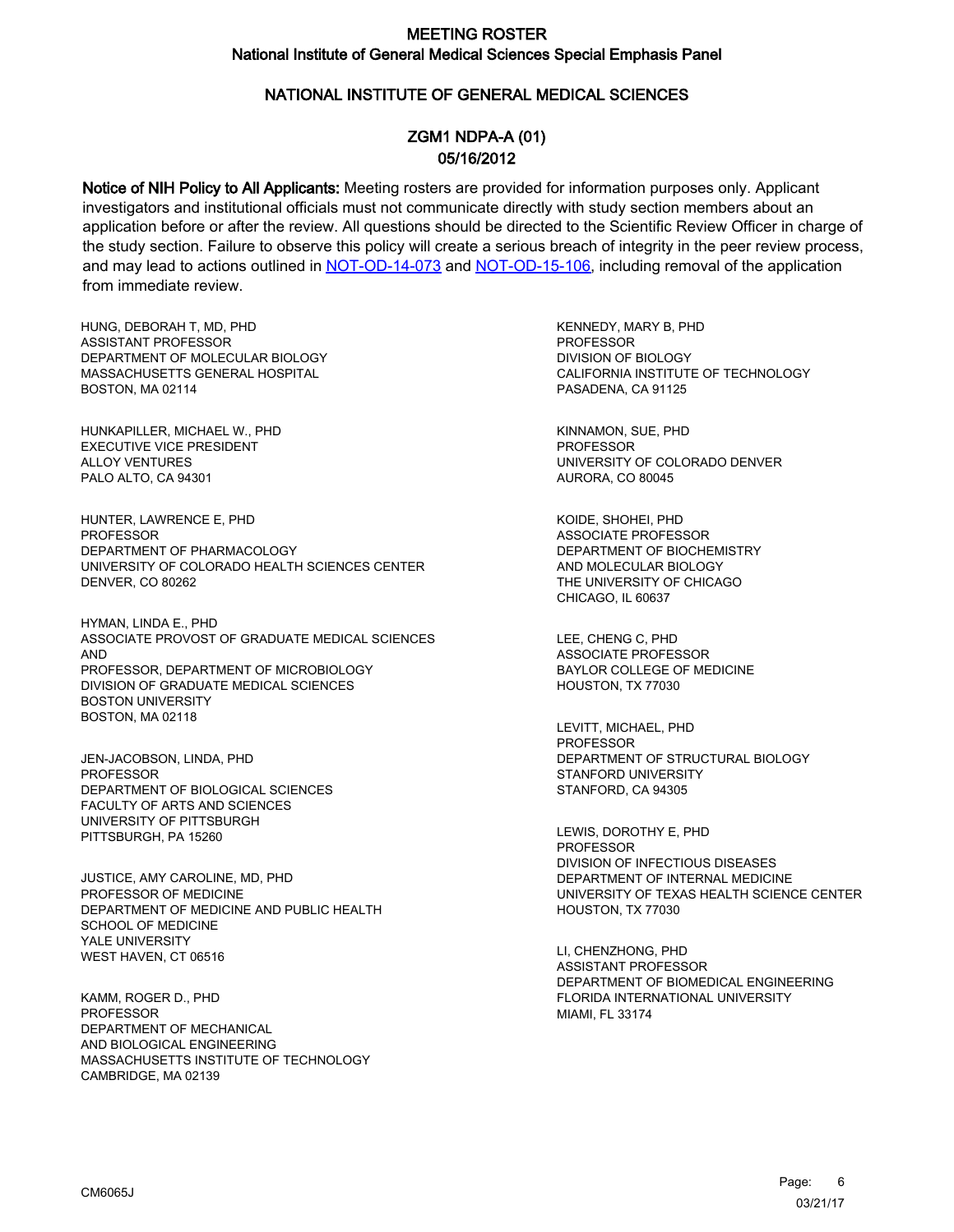## NATIONAL INSTITUTE OF GENERAL MEDICAL SCIENCES

## ZGM1 NDPA-A (01) 05/16/2012

Notice of NIH Policy to All Applicants: Meeting rosters are provided for information purposes only. Applicant investigators and institutional officials must not communicate directly with study section members about an application before or after the review. All questions should be directed to the Scientific Review Officer in charge of the study section. Failure to observe this policy will create a serious breach of integrity in the peer review process, and may lead to actions outlined in [NOT-OD-14-073](https://grants.nih.gov/grants/guide/notice-files/NOT-OD-14-073.html) and [NOT-OD-15-106,](https://grants.nih.gov/grants/guide/notice-files/NOT-OD-15-106.html) including removal of the application from immediate review.

HUNG, DEBORAH T, MD, PHD ASSISTANT PROFESSOR DEPARTMENT OF MOLECULAR BIOLOGY MASSACHUSETTS GENERAL HOSPITAL BOSTON, MA 02114

HUNKAPILLER, MICHAEL W., PHD EXECUTIVE VICE PRESIDENT ALLOY VENTURES PALO ALTO, CA 94301

HUNTER, LAWRENCE E, PHD PROFESSOR DEPARTMENT OF PHARMACOLOGY UNIVERSITY OF COLORADO HEALTH SCIENCES CENTER DENVER, CO 80262

HYMAN, LINDA E., PHD ASSOCIATE PROVOST OF GRADUATE MEDICAL SCIENCES AND PROFESSOR, DEPARTMENT OF MICROBIOLOGY DIVISION OF GRADUATE MEDICAL SCIENCES BOSTON UNIVERSITY BOSTON, MA 02118

JEN-JACOBSON, LINDA, PHD PROFESSOR DEPARTMENT OF BIOLOGICAL SCIENCES FACULTY OF ARTS AND SCIENCES UNIVERSITY OF PITTSBURGH PITTSBURGH, PA 15260

JUSTICE, AMY CAROLINE, MD, PHD PROFESSOR OF MEDICINE DEPARTMENT OF MEDICINE AND PUBLIC HEALTH SCHOOL OF MEDICINE YALE UNIVERSITY WEST HAVEN, CT 06516

KAMM, ROGER D., PHD PROFESSOR DEPARTMENT OF MECHANICAL AND BIOLOGICAL ENGINEERING MASSACHUSETTS INSTITUTE OF TECHNOLOGY CAMBRIDGE, MA 02139

KENNEDY, MARY B, PHD PROFESSOR DIVISION OF BIOLOGY CALIFORNIA INSTITUTE OF TECHNOLOGY PASADENA, CA 91125

KINNAMON, SUE, PHD PROFESSOR UNIVERSITY OF COLORADO DENVER AURORA, CO 80045

KOIDE, SHOHEI, PHD ASSOCIATE PROFESSOR DEPARTMENT OF BIOCHEMISTRY AND MOLECULAR BIOLOGY THE UNIVERSITY OF CHICAGO CHICAGO, IL 60637

LEE, CHENG C, PHD ASSOCIATE PROFESSOR BAYLOR COLLEGE OF MEDICINE HOUSTON, TX 77030

LEVITT, MICHAEL, PHD PROFESSOR DEPARTMENT OF STRUCTURAL BIOLOGY STANFORD UNIVERSITY STANFORD, CA 94305

LEWIS, DOROTHY E, PHD **PROFESSOR** DIVISION OF INFECTIOUS DISEASES DEPARTMENT OF INTERNAL MEDICINE UNIVERSITY OF TEXAS HEALTH SCIENCE CENTER HOUSTON, TX 77030

LI, CHENZHONG, PHD ASSISTANT PROFESSOR DEPARTMENT OF BIOMEDICAL ENGINEERING FLORIDA INTERNATIONAL UNIVERSITY MIAMI, FL 33174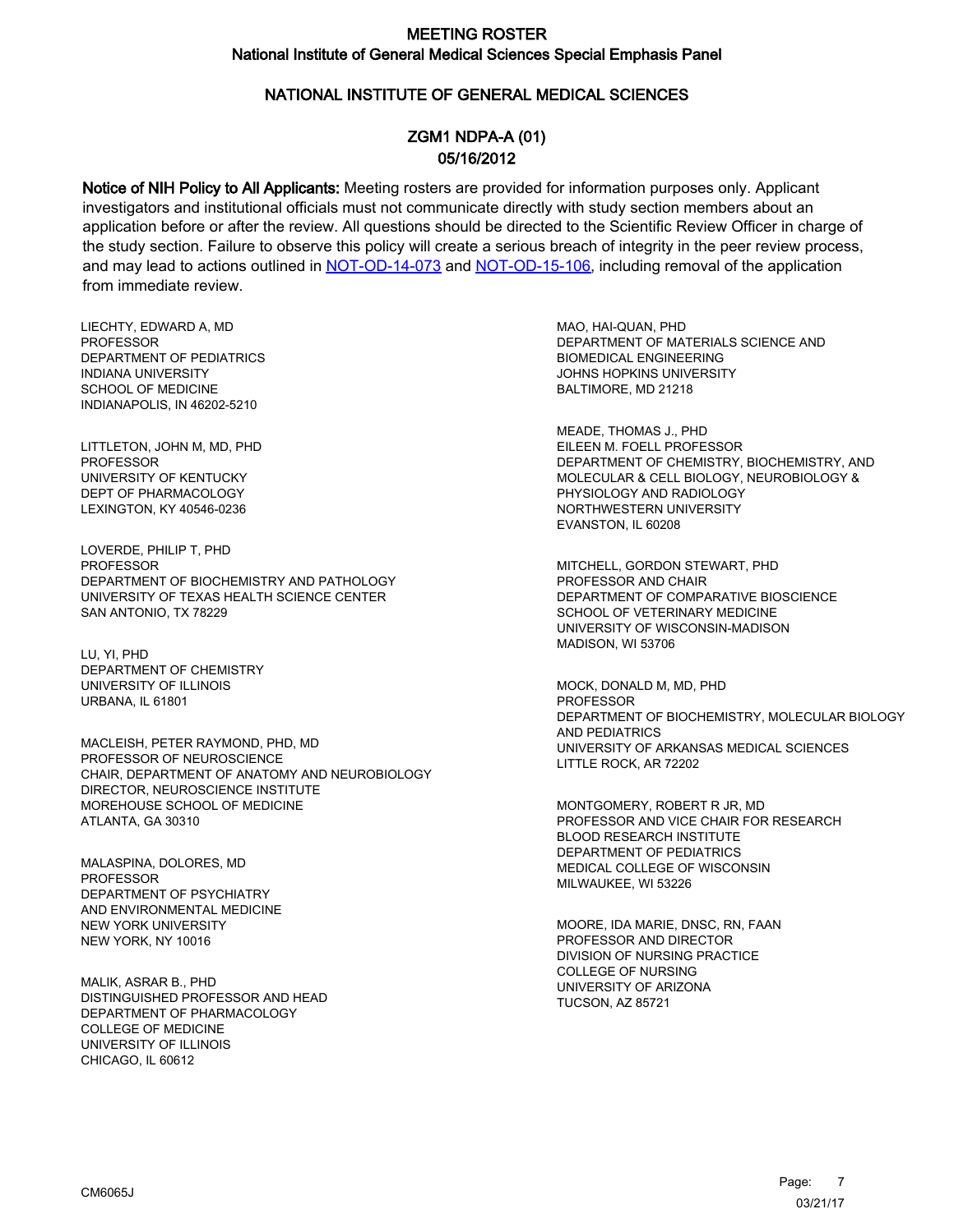## NATIONAL INSTITUTE OF GENERAL MEDICAL SCIENCES

# ZGM1 NDPA-A (01) 05/16/2012

Notice of NIH Policy to All Applicants: Meeting rosters are provided for information purposes only. Applicant investigators and institutional officials must not communicate directly with study section members about an application before or after the review. All questions should be directed to the Scientific Review Officer in charge of the study section. Failure to observe this policy will create a serious breach of integrity in the peer review process, and may lead to actions outlined in [NOT-OD-14-073](https://grants.nih.gov/grants/guide/notice-files/NOT-OD-14-073.html) and [NOT-OD-15-106,](https://grants.nih.gov/grants/guide/notice-files/NOT-OD-15-106.html) including removal of the application from immediate review.

LIECHTY, EDWARD A, MD **PROFESSOR** DEPARTMENT OF PEDIATRICS INDIANA UNIVERSITY SCHOOL OF MEDICINE INDIANAPOLIS, IN 46202-5210

LITTLETON, JOHN M, MD, PHD PROFESSOR UNIVERSITY OF KENTUCKY DEPT OF PHARMACOLOGY LEXINGTON, KY 40546-0236

LOVERDE, PHILIP T, PHD PROFESSOR DEPARTMENT OF BIOCHEMISTRY AND PATHOLOGY UNIVERSITY OF TEXAS HEALTH SCIENCE CENTER SAN ANTONIO, TX 78229

LU, YI, PHD DEPARTMENT OF CHEMISTRY UNIVERSITY OF ILLINOIS URBANA, IL 61801

MACLEISH, PETER RAYMOND, PHD, MD PROFESSOR OF NEUROSCIENCE CHAIR, DEPARTMENT OF ANATOMY AND NEUROBIOLOGY DIRECTOR, NEUROSCIENCE INSTITUTE MOREHOUSE SCHOOL OF MEDICINE ATLANTA, GA 30310

MALASPINA, DOLORES, MD PROFESSOR DEPARTMENT OF PSYCHIATRY AND ENVIRONMENTAL MEDICINE NEW YORK UNIVERSITY NEW YORK, NY 10016

MALIK, ASRAR B., PHD DISTINGUISHED PROFESSOR AND HEAD DEPARTMENT OF PHARMACOLOGY COLLEGE OF MEDICINE UNIVERSITY OF ILLINOIS CHICAGO, IL 60612

MAO, HAI-QUAN, PHD DEPARTMENT OF MATERIALS SCIENCE AND BIOMEDICAL ENGINEERING JOHNS HOPKINS UNIVERSITY BALTIMORE, MD 21218

MEADE, THOMAS J., PHD EILEEN M. FOELL PROFESSOR DEPARTMENT OF CHEMISTRY, BIOCHEMISTRY, AND MOLECULAR & CELL BIOLOGY, NEUROBIOLOGY & PHYSIOLOGY AND RADIOLOGY NORTHWESTERN UNIVERSITY EVANSTON, IL 60208

MITCHELL, GORDON STEWART, PHD PROFESSOR AND CHAIR DEPARTMENT OF COMPARATIVE BIOSCIENCE SCHOOL OF VETERINARY MEDICINE UNIVERSITY OF WISCONSIN-MADISON MADISON, WI 53706

MOCK, DONALD M, MD, PHD PROFESSOR DEPARTMENT OF BIOCHEMISTRY, MOLECULAR BIOLOGY AND PEDIATRICS UNIVERSITY OF ARKANSAS MEDICAL SCIENCES LITTLE ROCK, AR 72202

MONTGOMERY, ROBERT R JR, MD PROFESSOR AND VICE CHAIR FOR RESEARCH BLOOD RESEARCH INSTITUTE DEPARTMENT OF PEDIATRICS MEDICAL COLLEGE OF WISCONSIN MILWAUKEE, WI 53226

MOORE, IDA MARIE, DNSC, RN, FAAN PROFESSOR AND DIRECTOR DIVISION OF NURSING PRACTICE COLLEGE OF NURSING UNIVERSITY OF ARIZONA TUCSON, AZ 85721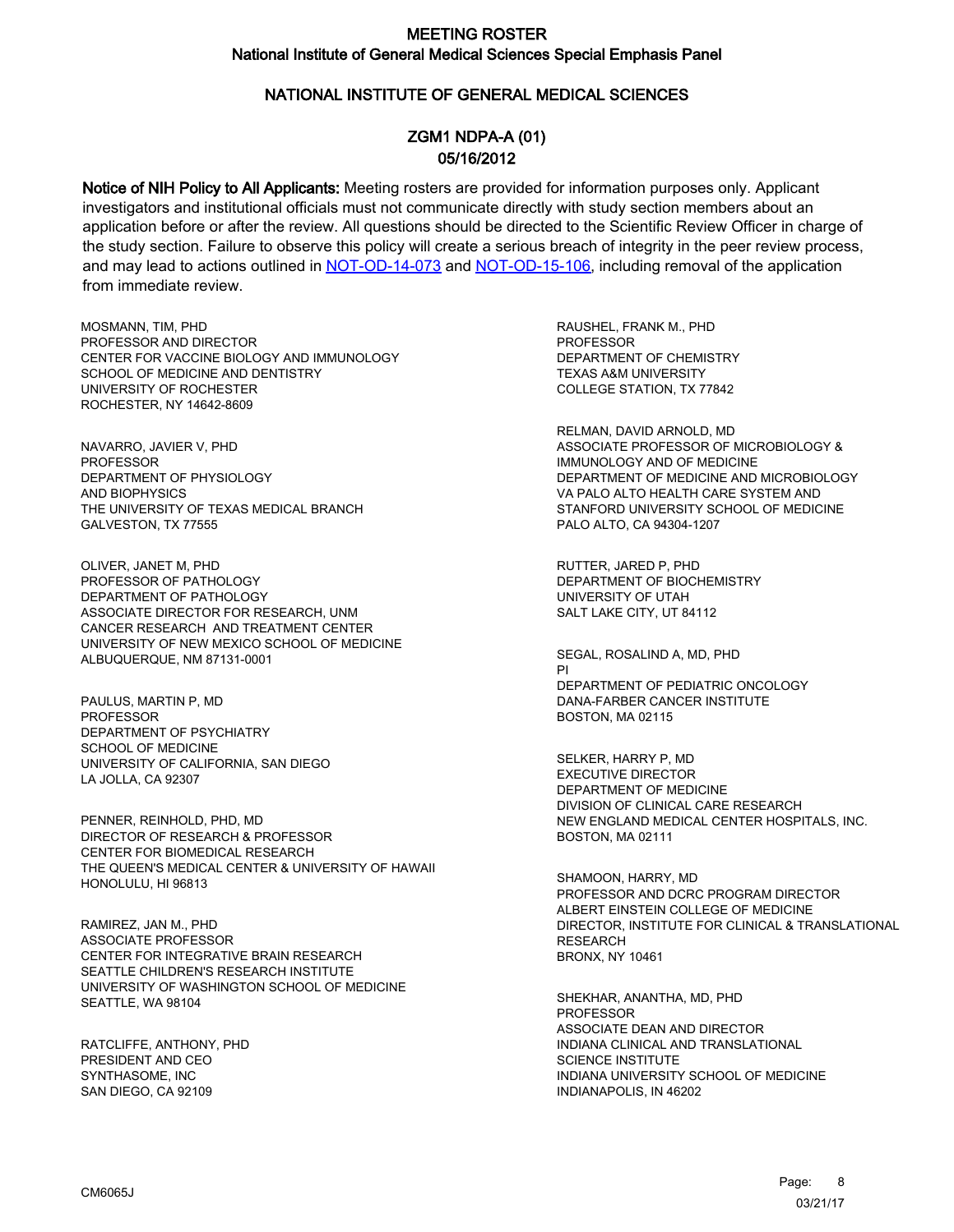### NATIONAL INSTITUTE OF GENERAL MEDICAL SCIENCES

## ZGM1 NDPA-A (01) 05/16/2012

Notice of NIH Policy to All Applicants: Meeting rosters are provided for information purposes only. Applicant investigators and institutional officials must not communicate directly with study section members about an application before or after the review. All questions should be directed to the Scientific Review Officer in charge of the study section. Failure to observe this policy will create a serious breach of integrity in the peer review process, and may lead to actions outlined in [NOT-OD-14-073](https://grants.nih.gov/grants/guide/notice-files/NOT-OD-14-073.html) and [NOT-OD-15-106,](https://grants.nih.gov/grants/guide/notice-files/NOT-OD-15-106.html) including removal of the application from immediate review.

MOSMANN, TIM, PHD PROFESSOR AND DIRECTOR CENTER FOR VACCINE BIOLOGY AND IMMUNOLOGY SCHOOL OF MEDICINE AND DENTISTRY UNIVERSITY OF ROCHESTER ROCHESTER, NY 14642-8609

NAVARRO, JAVIER V, PHD PROFESSOR DEPARTMENT OF PHYSIOLOGY AND BIOPHYSICS THE UNIVERSITY OF TEXAS MEDICAL BRANCH GALVESTON, TX 77555

OLIVER, JANET M, PHD PROFESSOR OF PATHOLOGY DEPARTMENT OF PATHOLOGY ASSOCIATE DIRECTOR FOR RESEARCH, UNM CANCER RESEARCH AND TREATMENT CENTER UNIVERSITY OF NEW MEXICO SCHOOL OF MEDICINE ALBUQUERQUE, NM 87131-0001

PAULUS, MARTIN P, MD PROFESSOR DEPARTMENT OF PSYCHIATRY SCHOOL OF MEDICINE UNIVERSITY OF CALIFORNIA, SAN DIEGO LA JOLLA, CA 92307

PENNER, REINHOLD, PHD, MD DIRECTOR OF RESEARCH & PROFESSOR CENTER FOR BIOMEDICAL RESEARCH THE QUEEN'S MEDICAL CENTER & UNIVERSITY OF HAWAII HONOLULU, HI 96813

RAMIREZ, JAN M., PHD ASSOCIATE PROFESSOR CENTER FOR INTEGRATIVE BRAIN RESEARCH SEATTLE CHILDREN'S RESEARCH INSTITUTE UNIVERSITY OF WASHINGTON SCHOOL OF MEDICINE SEATTLE, WA 98104

RATCLIFFE, ANTHONY, PHD PRESIDENT AND CEO SYNTHASOME, INC SAN DIEGO, CA 92109

RAUSHEL, FRANK M., PHD **PROFESSOR** DEPARTMENT OF CHEMISTRY TEXAS A&M UNIVERSITY COLLEGE STATION, TX 77842

RELMAN, DAVID ARNOLD, MD ASSOCIATE PROFESSOR OF MICROBIOLOGY & IMMUNOLOGY AND OF MEDICINE DEPARTMENT OF MEDICINE AND MICROBIOLOGY VA PALO ALTO HEALTH CARE SYSTEM AND STANFORD UNIVERSITY SCHOOL OF MEDICINE PALO ALTO, CA 94304-1207

RUTTER, JARED P, PHD DEPARTMENT OF BIOCHEMISTRY UNIVERSITY OF UTAH SALT LAKE CITY, UT 84112

SEGAL, ROSALIND A, MD, PHD PI DEPARTMENT OF PEDIATRIC ONCOLOGY DANA-FARBER CANCER INSTITUTE BOSTON, MA 02115

SELKER, HARRY P, MD EXECUTIVE DIRECTOR DEPARTMENT OF MEDICINE DIVISION OF CLINICAL CARE RESEARCH NEW ENGLAND MEDICAL CENTER HOSPITALS, INC. BOSTON, MA 02111

SHAMOON, HARRY, MD PROFESSOR AND DCRC PROGRAM DIRECTOR ALBERT EINSTEIN COLLEGE OF MEDICINE DIRECTOR, INSTITUTE FOR CLINICAL & TRANSLATIONAL **RESEARCH** BRONX, NY 10461

SHEKHAR, ANANTHA, MD, PHD **PROFESSOR** ASSOCIATE DEAN AND DIRECTOR INDIANA CLINICAL AND TRANSLATIONAL SCIENCE INSTITUTE INDIANA UNIVERSITY SCHOOL OF MEDICINE INDIANAPOLIS, IN 46202